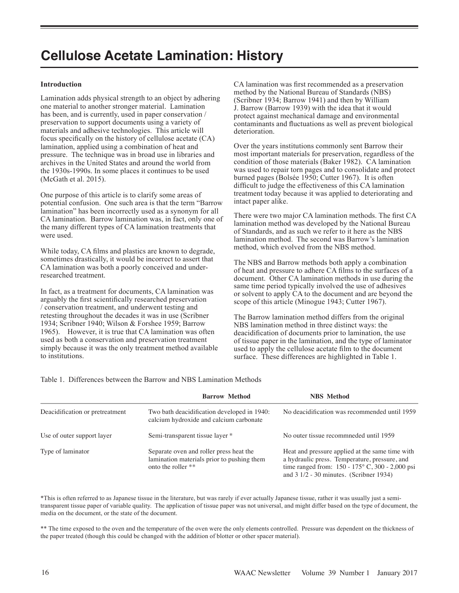# **Cellulose Acetate Lamination: History**

#### **Introduction**

Lamination adds physical strength to an object by adhering one material to another stronger material. Lamination has been, and is currently, used in paper conservation / preservation to support documents using a variety of materials and adhesive technologies. This article will focus specifically on the history of cellulose acetate (CA) lamination, applied using a combination of heat and pressure. The technique was in broad use in libraries and archives in the United States and around the world from the 1930s-1990s. In some places it continues to be used (McGath et al. 2015).

One purpose of this article is to clarify some areas of potential confusion. One such area is that the term "Barrow lamination" has been incorrectly used as a synonym for all CA lamination. Barrow lamination was, in fact, only one of the many different types of CA lamination treatments that were used.

While today, CA films and plastics are known to degrade, sometimes drastically, it would be incorrect to assert that CA lamination was both a poorly conceived and underresearched treatment.

In fact, as a treatment for documents, CA lamination was arguably the first scientifically researched preservation / conservation treatment, and underwent testing and retesting throughout the decades it was in use (Scribner 1934; Scribner 1940; Wilson & Forshee 1959; Barrow 1965). However, it is true that CA lamination was often used as both a conservation and preservation treatment simply because it was the only treatment method available to institutions.

CA lamination was first recommended as a preservation method by the National Bureau of Standards (NBS) (Scribner 1934; Barrow 1941) and then by William J. Barrow (Barrow 1939) with the idea that it would protect against mechanical damage and environmental contaminants and fluctuations as well as prevent biological deterioration.

Over the years institutions commonly sent Barrow their most important materials for preservation, regardless of the condition of those materials (Baker 1982). CA lamination was used to repair torn pages and to consolidate and protect burned pages (Bolsée 1950; Cutter 1967). It is often difficult to judge the effectiveness of this CA lamination treatment today because it was applied to deteriorating and intact paper alike.

There were two major CA lamination methods. The first CA lamination method was developed by the National Bureau of Standards, and as such we refer to it here as the NBS lamination method. The second was Barrow's lamination method, which evolved from the NBS method.

The NBS and Barrow methods both apply a combination of heat and pressure to adhere CA films to the surfaces of a document. Other CA lamination methods in use during the same time period typically involved the use of adhesives or solvent to apply CA to the document and are beyond the scope of this article (Minogue 1943; Cutter 1967).

The Barrow lamination method differs from the original NBS lamination method in three distinct ways: the deacidification of documents prior to lamination, the use of tissue paper in the lamination, and the type of laminator used to apply the cellulose acetate film to the document surface. These differences are highlighted in Table 1.

|                                 | <b>Barrow Method</b>                                                                                        | <b>NBS</b> Method                                                                                                                                                                                          |  |
|---------------------------------|-------------------------------------------------------------------------------------------------------------|------------------------------------------------------------------------------------------------------------------------------------------------------------------------------------------------------------|--|
| Deacidification or pretreatment | Two bath deacidification developed in 1940:<br>calcium hydroxide and calcium carbonate                      | No deacidification was recommended until 1959                                                                                                                                                              |  |
| Use of outer support layer      | Semi-transparent tissue layer *                                                                             | No outer tissue recommeded until 1959                                                                                                                                                                      |  |
| Type of laminator               | Separate oven and roller press heat the<br>lamination materials prior to pushing them<br>onto the roller ** | Heat and pressure applied at the same time with<br>a hydraulic press. Temperature, pressure, and<br>time ranged from: $150 - 175$ °C, 300 - 2,000 psi<br>and $3 \frac{1}{2}$ - 30 minutes. (Scribner 1934) |  |

Table 1. Differences between the Barrow and NBS Lamination Methods

\*This is often referred to as Japanese tissue in the literature, but was rarely if ever actually Japanese tissue, rather it was usually just a semitransparent tissue paper of variable quality. The application of tissue paper was not universal, and might differ based on the type of document, the media on the document, or the state of the document.

\*\* The time exposed to the oven and the temperature of the oven were the only elements controlled. Pressure was dependent on the thickness of the paper treated (though this could be changed with the addition of blotter or other spacer material).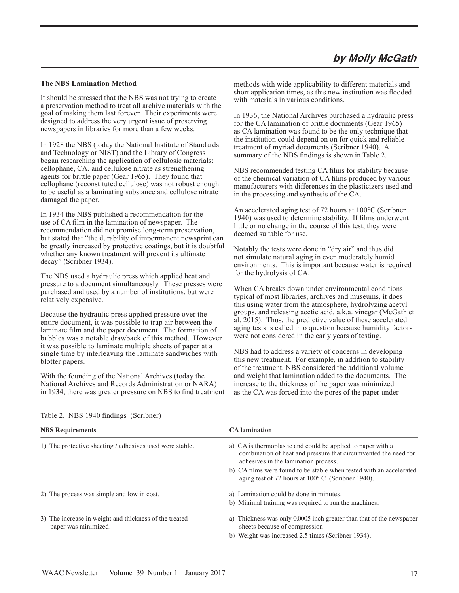# **by Molly McGath**

#### **The NBS Lamination Method**

It should be stressed that the NBS was not trying to create a preservation method to treat all archive materials with the goal of making them last forever. Their experiments were designed to address the very urgent issue of preserving newspapers in libraries for more than a few weeks.

In 1928 the NBS (today the National Institute of Standards and Technology or NIST) and the Library of Congress began researching the application of cellulosic materials: cellophane, CA, and cellulose nitrate as strengthening agents for brittle paper (Gear 1965). They found that cellophane (reconstituted cellulose) was not robust enough to be useful as a laminating substance and cellulose nitrate damaged the paper.

In 1934 the NBS published a recommendation for the use of CA film in the lamination of newspaper. The recommendation did not promise long-term preservation, but stated that "the durability of impermanent newsprint can be greatly increased by protective coatings, but it is doubtful whether any known treatment will prevent its ultimate decay" (Scribner 1934).

The NBS used a hydraulic press which applied heat and pressure to a document simultaneously. These presses were purchased and used by a number of institutions, but were relatively expensive.

Because the hydraulic press applied pressure over the entire document, it was possible to trap air between the laminate film and the paper document. The formation of bubbles was a notable drawback of this method. However it was possible to laminate multiple sheets of paper at a single time by interleaving the laminate sandwiches with blotter papers.

With the founding of the National Archives (today the National Archives and Records Administration or NARA) in 1934, there was greater pressure on NBS to find treatment methods with wide applicability to different materials and short application times, as this new institution was flooded with materials in various conditions.

In 1936, the National Archives purchased a hydraulic press for the CA lamination of brittle documents (Gear 1965) as CA lamination was found to be the only technique that the institution could depend on on for quick and reliable treatment of myriad documents (Scribner 1940). A summary of the NBS findings is shown in Table 2.

NBS recommended testing CA films for stability because of the chemical variation of CA films produced by various manufacturers with differences in the plasticizers used and in the processing and synthesis of the CA.

An accelerated aging test of 72 hours at 100°C (Scribner 1940) was used to determine stability. If films underwent little or no change in the course of this test, they were deemed suitable for use.

Notably the tests were done in "dry air" and thus did not simulate natural aging in even moderately humid environments. This is important because water is required for the hydrolysis of CA.

When CA breaks down under environmental conditions typical of most libraries, archives and museums, it does this using water from the atmosphere, hydrolyzing acetyl groups, and releasing acetic acid, a.k.a. vinegar (McGath et al. 2015). Thus, the predictive value of these accelerated aging tests is called into question because humidity factors were not considered in the early years of testing.

NBS had to address a variety of concerns in developing this new treatment. For example, in addition to stability of the treatment, NBS considered the additional volume and weight that lamination added to the documents. The increase to the thickness of the paper was minimized as the CA was forced into the pores of the paper under

| <b>NBS</b> Requirements                                                        | <b>CA</b> lamination                                                                                                                                                   |
|--------------------------------------------------------------------------------|------------------------------------------------------------------------------------------------------------------------------------------------------------------------|
| 1) The protective sheeting / adhesives used were stable.                       | a) CA is thermoplastic and could be applied to paper with a<br>combination of heat and pressure that circumvented the need for<br>adhesives in the lamination process. |
|                                                                                | b) CA films were found to be stable when tested with an accelerated<br>aging test of 72 hours at $100^{\circ}$ C (Scribner 1940).                                      |
| 2) The process was simple and low in cost.                                     | a) Lamination could be done in minutes.                                                                                                                                |
|                                                                                | b) Minimal training was required to run the machines.                                                                                                                  |
| 3) The increase in weight and thickness of the treated<br>paper was minimized. | a) Thickness was only 0.0005 inch greater than that of the newspaper<br>sheets because of compression.                                                                 |
|                                                                                | b) Weight was increased 2.5 times (Scribner 1934).                                                                                                                     |

#### Table 2. NBS 1940 findings (Scribner)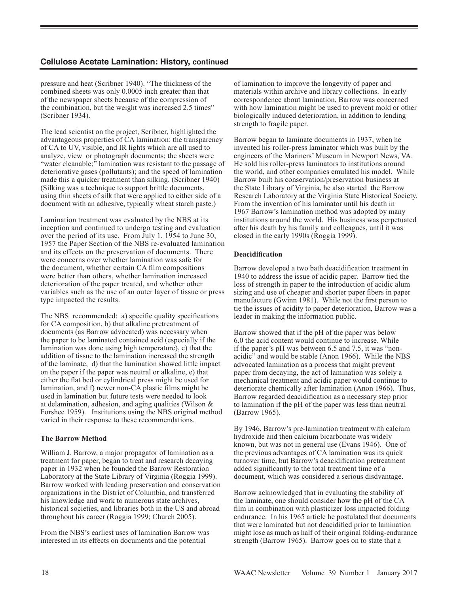# **Cellulose Acetate Lamination: History, continued**

pressure and heat (Scribner 1940). "The thickness of the combined sheets was only 0.0005 inch greater than that of the newspaper sheets because of the compression of the combination, but the weight was increased 2.5 times" (Scribner 1934).

The lead scientist on the project, Scribner, highlighted the advantageous properties of CA lamination: the transparency of CA to UV, visible, and IR lights which are all used to analyze, view or photograph documents; the sheets were "water cleanable;" lamination was resistant to the passage of deteriorative gases (pollutants); and the speed of lamination made this a quicker treatment than silking. (Scribner 1940) (Silking was a technique to support brittle documents, using thin sheets of silk that were applied to either side of a document with an adhesive, typically wheat starch paste.)

Lamination treatment was evaluated by the NBS at its inception and continued to undergo testing and evaluation over the period of its use. From July 1, 1954 to June 30, 1957 the Paper Section of the NBS re-evaluated lamination and its effects on the preservation of documents. There were concerns over whether lamination was safe for the document, whether certain CA film compositions were better than others, whether lamination increased deterioration of the paper treated, and whether other variables such as the use of an outer layer of tissue or press type impacted the results.

The NBS recommended: a) specific quality specifications for CA composition, b) that alkaline pretreatment of documents (as Barrow advocated) was necessary when the paper to be laminated contained acid (especially if the lamination was done using high temperature), c) that the addition of tissue to the lamination increased the strength of the laminate, d) that the lamination showed little impact on the paper if the paper was neutral or alkaline, e) that either the flat bed or cylindrical press might be used for lamination, and f) newer non-CA plastic films might be used in lamination but future tests were needed to look at delamination, adhesion, and aging qualities (Wilson & Forshee 1959). Institutions using the NBS original method varied in their response to these recommendations.

#### **The Barrow Method**

William J. Barrow, a major propagator of lamination as a treatment for paper, began to treat and research decaying paper in 1932 when he founded the Barrow Restoration Laboratory at the State Library of Virginia (Roggia 1999). Barrow worked with leading preservation and conservation organizations in the District of Columbia, and transferred his knowledge and work to numerous state archives, historical societies, and libraries both in the US and abroad throughout his career (Roggia 1999; Church 2005).

From the NBS's earliest uses of lamination Barrow was interested in its effects on documents and the potential

of lamination to improve the longevity of paper and materials within archive and library collections. In early correspondence about lamination, Barrow was concerned with how lamination might be used to prevent mold or other biologically induced deterioration, in addition to lending strength to fragile paper.

Barrow began to laminate documents in 1937, when he invented his roller-press laminator which was built by the engineers of the Mariners' Museum in Newport News, VA. He sold his roller-press laminators to institutions around the world, and other companies emulated his model. While Barrow built his conservation/preservation business at the State Library of Virginia, he also started the Barrow Research Laboratory at the Virginia State Historical Society. From the invention of his laminator until his death in 1967 Barrow's lamination method was adopted by many institutions around the world. His business was perpetuated after his death by his family and colleagues, until it was closed in the early 1990s (Roggia 1999).

#### **Deacidification**

Barrow developed a two bath deacidification treatment in 1940 to address the issue of acidic paper. Barrow tied the loss of strength in paper to the introduction of acidic alum sizing and use of cheaper and shorter paper fibers in paper manufacture (Gwinn 1981). While not the first person to tie the issues of acidity to paper deterioration, Barrow was a leader in making the information public.

Barrow showed that if the pH of the paper was below 6.0 the acid content would continue to increase. While if the paper's pH was between 6.5 and 7.5, it was "nonacidic" and would be stable (Anon 1966). While the NBS advocated lamination as a process that might prevent paper from decaying, the act of lamination was solely a mechanical treatment and acidic paper would continue to deteriorate chemically after lamination (Anon 1966). Thus, Barrow regarded deacidification as a necessary step prior to lamination if the pH of the paper was less than neutral (Barrow 1965).

By 1946, Barrow's pre-lamination treatment with calcium hydroxide and then calcium bicarbonate was widely known, but was not in general use (Evans 1946). One of the previous advantages of CA lamination was its quick turnover time, but Barrow's deacidification pretreatment added significantly to the total treatment time of a document, which was considered a serious disdvantage.

Barrow acknowledged that in evaluating the stability of the laminate, one should consider how the pH of the CA film in combination with plasticizer loss impacted folding endurance. In his 1965 article he postulated that documents that were laminated but not deacidified prior to lamination might lose as much as half of their original folding-endurance strength (Barrow 1965). Barrow goes on to state that a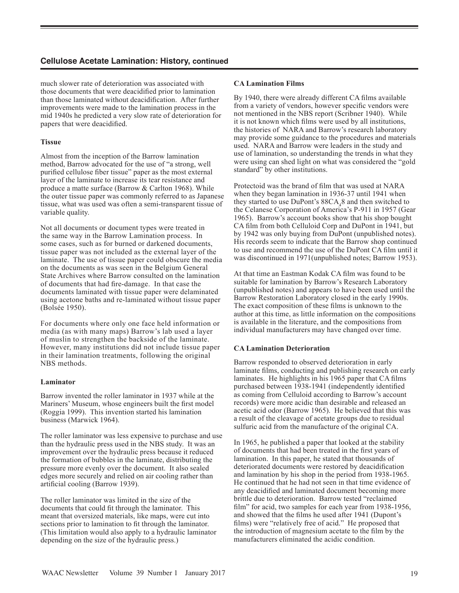## **Cellulose Acetate Lamination: History, continued**

much slower rate of deterioration was associated with those documents that were deacidified prior to lamination than those laminated without deacidification. After further improvements were made to the lamination process in the mid 1940s he predicted a very slow rate of deterioration for papers that were deacidified.

#### **Tissue**

Almost from the inception of the Barrow lamination method, Barrow advocated for the use of "a strong, well purified cellulose fiber tissue" paper as the most external layer of the laminate to increase its tear resistance and produce a matte surface (Barrow & Carlton 1968). While the outer tissue paper was commonly referred to as Japanese tissue, what was used was often a semi-transparent tissue of variable quality.

Not all documents or document types were treated in the same way in the Barrow Lamination process. In some cases, such as for burned or darkened documents, tissue paper was not included as the external layer of the laminate. The use of tissue paper could obscure the media on the documents as was seen in the Belgium General State Archives where Barrow consulted on the lamination of documents that had fire-damage. In that case the documents laminated with tissue paper were delaminated using acetone baths and re-laminated without tissue paper (Bolsée 1950).

For documents where only one face held information or media (as with many maps) Barrow's lab used a layer of muslin to strengthen the backside of the laminate. However, many institutions did not include tissue paper in their lamination treatments, following the original NBS methods.

#### **Laminator**

Barrow invented the roller laminator in 1937 while at the Mariners' Museum, whose engineers built the first model (Roggia 1999). This invention started his lamination business (Marwick 1964).

The roller laminator was less expensive to purchase and use than the hydraulic press used in the NBS study. It was an improvement over the hydraulic press because it reduced the formation of bubbles in the laminate, distributing the pressure more evenly over the document. It also sealed edges more securely and relied on air cooling rather than artificial cooling (Barrow 1939).

The roller laminator was limited in the size of the documents that could fit through the laminator. This meant that oversized materials, like maps, were cut into sections prior to lamination to fit through the laminator. (This limitation would also apply to a hydraulic laminator depending on the size of the hydraulic press.)

#### **CA Lamination Films**

By 1940, there were already different CA films available from a variety of vendors, however specific vendors were not mentioned in the NBS report (Scribner 1940). While it is not known which films were used by all institutions, the histories of NARA and Barrow's research laboratory may provide some guidance to the procedures and materials used. NARA and Barrow were leaders in the study and use of lamination, so understanding the trends in what they were using can shed light on what was considered the "gold standard" by other institutions.

Protectoid was the brand of film that was used at NARA when they began lamination in 1936-37 until 1941 when they started to use DuPont's  $88CA_48$  and then switched to the Celanese Corporation of America's P-911 in 1957 (Gear 1965). Barrow's account books show that his shop bought CA film from both Celluloid Corp and DuPont in 1941, but by 1942 was only buying from DuPont (unpublished notes). His records seem to indicate that the Barrow shop continued to use and recommend the use of the DuPont CA film until it was discontinued in 1971(unpublished notes; Barrow 1953).

At that time an Eastman Kodak CA film was found to be suitable for lamination by Barrow's Research Laboratory (unpublished notes) and appears to have been used until the Barrow Restoration Laboratory closed in the early 1990s. The exact composition of these films is unknown to the author at this time, as little information on the compositions is available in the literature, and the compositions from individual manufacturers may have changed over time.

#### **CA Lamination Deterioration**

Barrow responded to observed deterioration in early laminate films, conducting and publishing research on early laminates. He highlights in his 1965 paper that CA films purchased between 1938-1941 (independently identified as coming from Celluloid according to Barrow's account records) were more acidic than desirable and released an acetic acid odor (Barrow 1965). He believed that this was a result of the cleavage of acetate groups due to residual sulfuric acid from the manufacture of the original CA.

In 1965, he published a paper that looked at the stability of documents that had been treated in the first years of lamination. In this paper, he stated that thousands of deteriorated documents were restored by deacidification and lamination by his shop in the period from 1938-1965. He continued that he had not seen in that time evidence of any deacidified and laminated document becoming more brittle due to deterioration. Barrow tested "reclaimed film" for acid, two samples for each year from 1938-1956, and showed that the films he used after 1941 (Dupont's films) were "relatively free of acid." He proposed that the introduction of magnesium acetate to the film by the manufacturers eliminated the acidic condition.